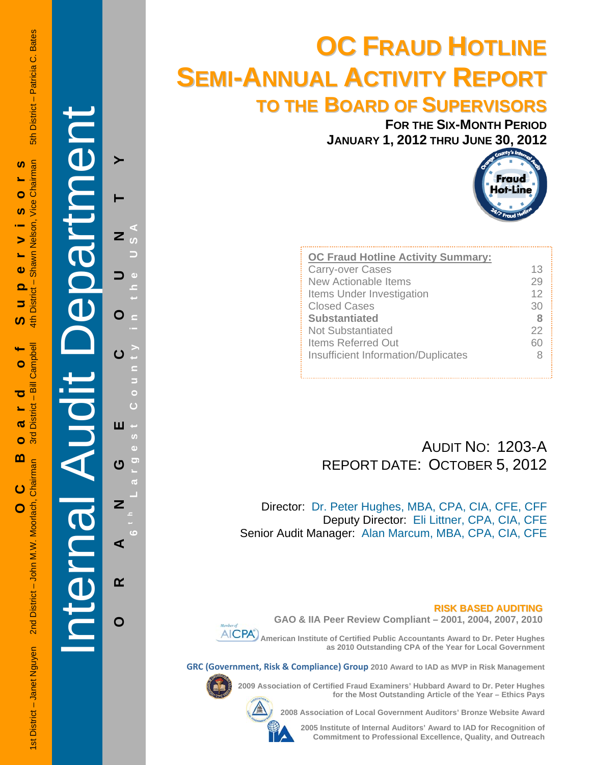5th District - Patricia C. Bates

# í Internal Audit Department

**ORANGE COUNTY 6 t h Lar** O ш U Z ⋖  $\alpha$ O

 $\blacktriangleright$ 

**g est Count y in the USA** 

# **OC FRAUD HOTLINE SEMI-ANNUAL ACTIVITY REPORT TO THE BOARD OF SUPERVISORS**

**FOR THE SIX-MONTH PERIOD JANUARY 1, 2012 THRU JUNE 30, 2012**



| <b>OC Fraud Hotline Activity Summary:</b> |    |
|-------------------------------------------|----|
| <b>Carry-over Cases</b>                   | 13 |
| New Actionable Items                      | 29 |
| Items Under Investigation                 | 12 |
| <b>Closed Cases</b>                       | 30 |
| <b>Substantiated</b>                      | 8  |
| <b>Not Substantiated</b>                  | 22 |
| <b>Items Referred Out</b>                 | 60 |
| Insufficient Information/Duplicates       |    |
|                                           |    |

### AUDIT NO: 1203-A REPORT DATE: OCTOBER 5, 2012

Director: Dr. Peter Hughes, MBA, CPA, CIA, CFE, CFF Deputy Director: Eli Littner, CPA, CIA, CFE Senior Audit Manager: Alan Marcum, MBA, CPA, CIA, CFE

### **RISK BASED AUDITING**



**GAO & IIA Peer Review Compliant – 2001, 2004, 2007, 2010** 

 **American Institute of Certified Public Accountants Award to Dr. Peter Hughes as 2010 Outstanding CPA of the Year for Local Government** 

**GRC (Government, Risk & Compliance) Group 2010 Award to IAD as MVP in Risk Management** 



**2008 Association of Local Government Auditors' Bronze Website Award** 



**2005 Institute of Internal Auditors' Award to IAD for Recognition of Commitment to Professional Excellence, Quality, and Outreach**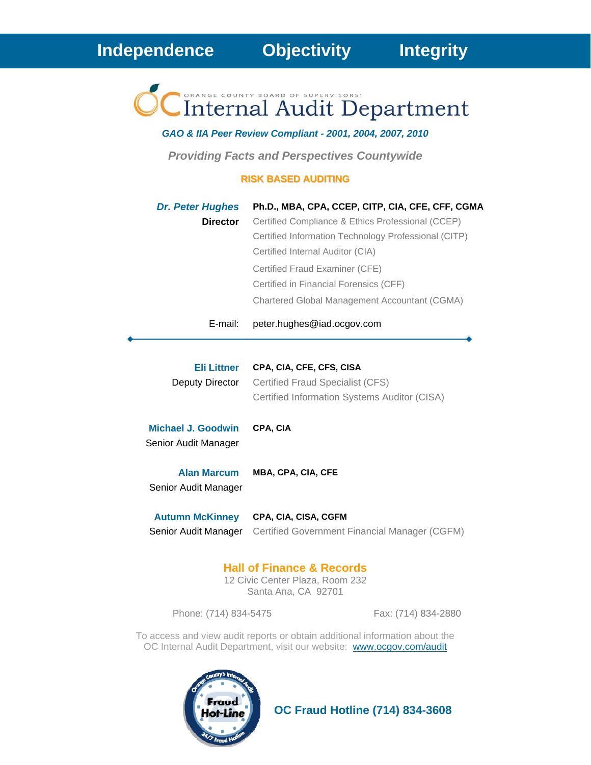Internal Audit Department

*GAO & IIA Peer Review Compliant - 2001, 2004, 2007, 2010* 

*Providing Facts and Perspectives Countywide* 

### **RISK BASED AUDITING**

| <b>Dr. Peter Hughes</b><br><b>Director</b> | Ph.D., MBA, CPA, CCEP, CITP, CIA, CFE, CFF, CGMA<br>Certified Compliance & Ethics Professional (CCEP)<br>Certified Information Technology Professional (CITP)<br>Certified Internal Auditor (CIA)<br>Certified Fraud Examiner (CFE)<br>Certified in Financial Forensics (CFF)<br>Chartered Global Management Accountant (CGMA) |
|--------------------------------------------|--------------------------------------------------------------------------------------------------------------------------------------------------------------------------------------------------------------------------------------------------------------------------------------------------------------------------------|
| E-mail:                                    | peter.hughes@iad.ocgov.com                                                                                                                                                                                                                                                                                                     |
| Eli Littner<br>Deputy Director             | CPA, CIA, CFE, CFS, CISA<br>Certified Fraud Specialist (CFS)<br>Certified Information Systems Auditor (CISA)                                                                                                                                                                                                                   |
| Michael J. Goodwin<br>Senior Audit Manager | CPA, CIA                                                                                                                                                                                                                                                                                                                       |
| <b>Alan Marcum</b><br>Senior Audit Manager | <b>MBA, CPA, CIA, CFE</b>                                                                                                                                                                                                                                                                                                      |

**Autumn McKinney CPA, CIA, CISA, CGFM** Senior Audit Manager Certified Government Financial Manager (CGFM)

### **Hall of Finance & Records**

12 Civic Center Plaza, Room 232 Santa Ana, CA 92701

Phone: (714) 834-5475 Fax: (714) 834-2880

To access and view audit reports or obtain additional information about the OC Internal Audit Department, visit our website: www.ocgov.com/audit



 **OC Fraud Hotline (714) 834-3608**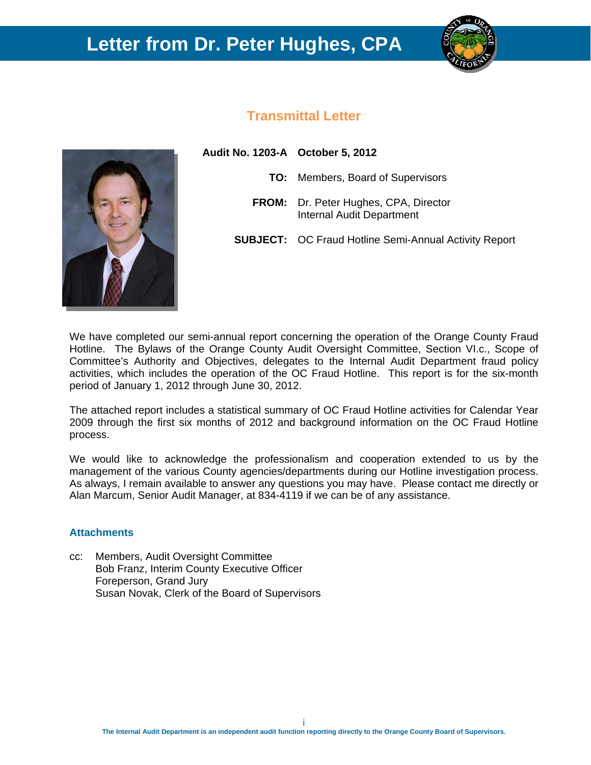## **Letter from Dr. Peter Hughes, CPA**



### **Transmittal Letter**



**Audit No. 1203-A October 5, 2012 TO:** Members, Board of Supervisors **FROM:** Dr. Peter Hughes, CPA, Director Internal Audit Department **SUBJECT:** OC Fraud Hotline Semi-Annual Activity Report

We have completed our semi-annual report concerning the operation of the Orange County Fraud Hotline. The Bylaws of the Orange County Audit Oversight Committee, Section VI.c., Scope of Committee's Authority and Objectives, delegates to the Internal Audit Department fraud policy activities, which includes the operation of the OC Fraud Hotline. This report is for the six-month period of January 1, 2012 through June 30, 2012.

The attached report includes a statistical summary of OC Fraud Hotline activities for Calendar Year 2009 through the first six months of 2012 and background information on the OC Fraud Hotline process.

We would like to acknowledge the professionalism and cooperation extended to us by the management of the various County agencies/departments during our Hotline investigation process. As always, I remain available to answer any questions you may have. Please contact me directly or Alan Marcum, Senior Audit Manager, at 834-4119 if we can be of any assistance.

### **Attachments**

cc: Members, Audit Oversight Committee Bob Franz, Interim County Executive Officer Foreperson, Grand Jury Susan Novak, Clerk of the Board of Supervisors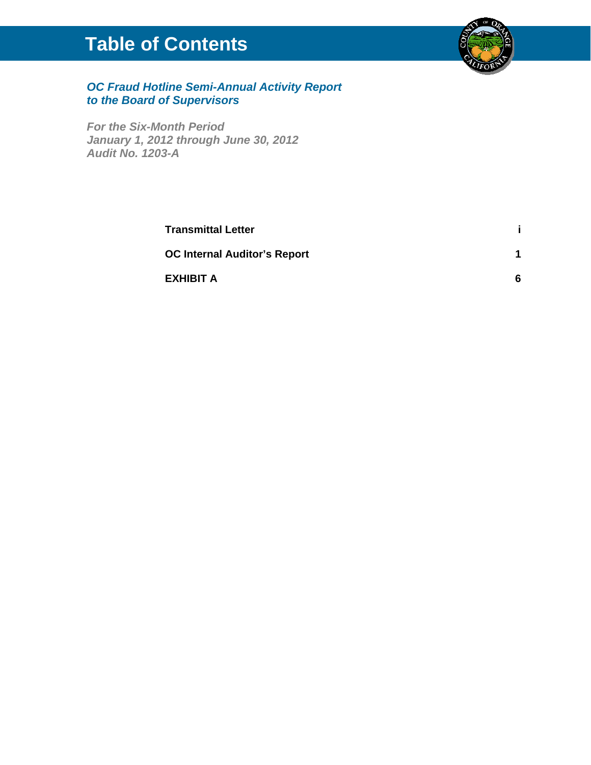# **Table of Contents**



### *OC Fraud Hotline Semi-Annual Activity Report to the Board of Supervisors*

*For the Six-Month Period January 1, 2012 through June 30, 2012 Audit No. 1203-A* 

| <b>Transmittal Letter</b>           |   |
|-------------------------------------|---|
| <b>OC Internal Auditor's Report</b> |   |
| EXHIBIT A                           | 6 |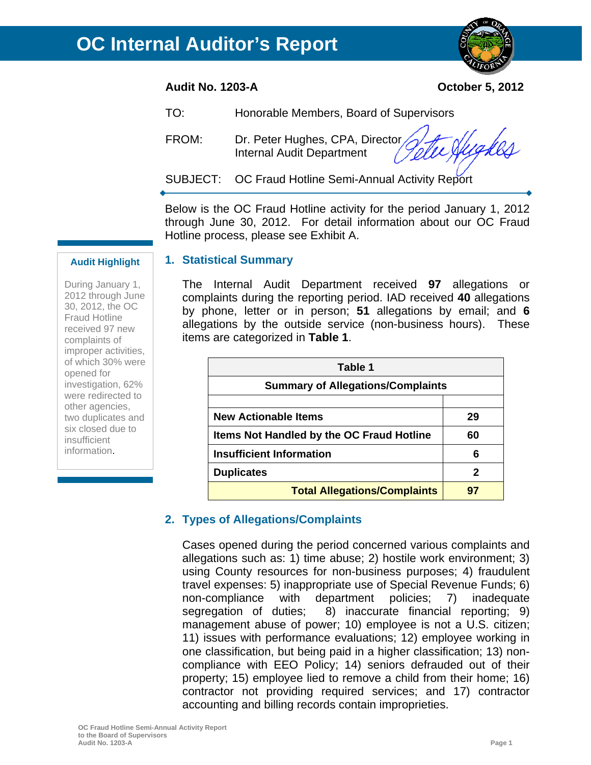### **Audit No. 1203-A October 5, 2012**

**1. Statistical Summary** 

- TO: Honorable Members, Board of Supervisors
- FROM: Dr. Peter Hughes, CPA, Director Internal Audit Department
- SUBJECT: OC Fraud Hotline Semi-Annual Activity Report

Below is the OC Fraud Hotline activity for the period January 1, 2012 through June 30, 2012. For detail information about our OC Fraud Hotline process, please see Exhibit A.

### **Audit Highlight**

During January 1, 2012 through June 30, 2012, the OC Fraud Hotline received 97 new complaints of improper activities, of which 30% were opened for investigation, 62% were redirected to other agencies, two duplicates and six closed due to insufficient information.

The Internal Audit Department received **97** allegations or complaints during the reporting period. IAD received **40** allegations by phone, letter or in person; **51** allegations by email; and **6** allegations by the outside service (non-business hours). These items are categorized in **Table 1**.

| Table 1                                   |    |  |  |  |  |
|-------------------------------------------|----|--|--|--|--|
| <b>Summary of Allegations/Complaints</b>  |    |  |  |  |  |
| <b>New Actionable Items</b>               | 29 |  |  |  |  |
| Items Not Handled by the OC Fraud Hotline | 60 |  |  |  |  |
| <b>Insufficient Information</b>           | 6  |  |  |  |  |
| <b>Duplicates</b>                         | 2  |  |  |  |  |
| <b>Total Allegations/Complaints</b>       |    |  |  |  |  |

### **2. Types of Allegations/Complaints**

Cases opened during the period concerned various complaints and allegations such as: 1) time abuse; 2) hostile work environment; 3) using County resources for non-business purposes; 4) fraudulent travel expenses: 5) inappropriate use of Special Revenue Funds; 6) non-compliance with department policies; 7) inadequate segregation of duties; 8) inaccurate financial reporting; 9) management abuse of power; 10) employee is not a U.S. citizen; 11) issues with performance evaluations; 12) employee working in one classification, but being paid in a higher classification; 13) noncompliance with EEO Policy; 14) seniors defrauded out of their property; 15) employee lied to remove a child from their home; 16) contractor not providing required services; and 17) contractor accounting and billing records contain improprieties.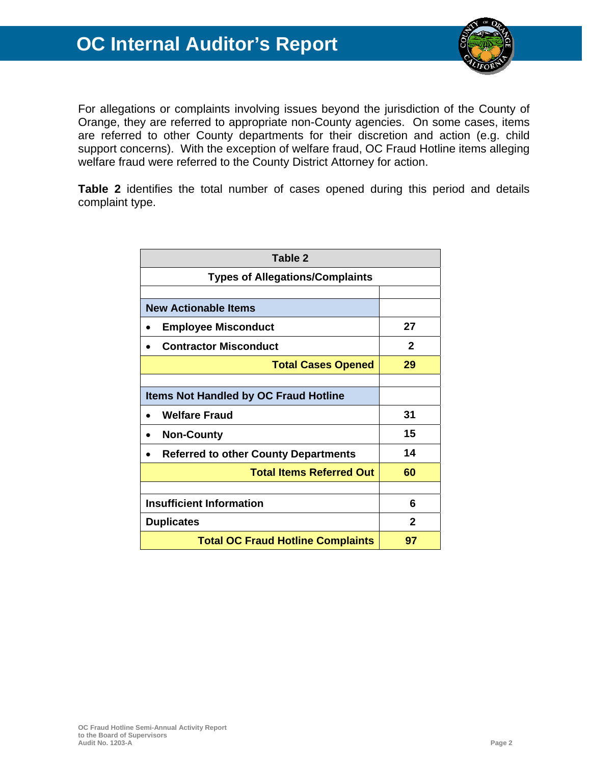

For allegations or complaints involving issues beyond the jurisdiction of the County of Orange, they are referred to appropriate non-County agencies. On some cases, items are referred to other County departments for their discretion and action (e.g. child support concerns). With the exception of welfare fraud, OC Fraud Hotline items alleging welfare fraud were referred to the County District Attorney for action.

**Table 2** identifies the total number of cases opened during this period and details complaint type.

| Table 2                                      |              |  |  |  |
|----------------------------------------------|--------------|--|--|--|
| <b>Types of Allegations/Complaints</b>       |              |  |  |  |
|                                              |              |  |  |  |
| <b>New Actionable Items</b>                  |              |  |  |  |
| <b>Employee Misconduct</b>                   | 27           |  |  |  |
| <b>Contractor Misconduct</b>                 | $\mathbf{2}$ |  |  |  |
| <b>Total Cases Opened</b>                    | 29           |  |  |  |
|                                              |              |  |  |  |
| <b>Items Not Handled by OC Fraud Hotline</b> |              |  |  |  |
| <b>Welfare Fraud</b>                         | 31           |  |  |  |
| <b>Non-County</b>                            | 15           |  |  |  |
| <b>Referred to other County Departments</b>  | 14           |  |  |  |
| <b>Total Items Referred Out</b>              | 60           |  |  |  |
|                                              |              |  |  |  |
| <b>Insufficient Information</b>              | 6            |  |  |  |
| <b>Duplicates</b>                            | $\mathbf{2}$ |  |  |  |
| <b>Total OC Fraud Hotline Complaints</b>     | 97           |  |  |  |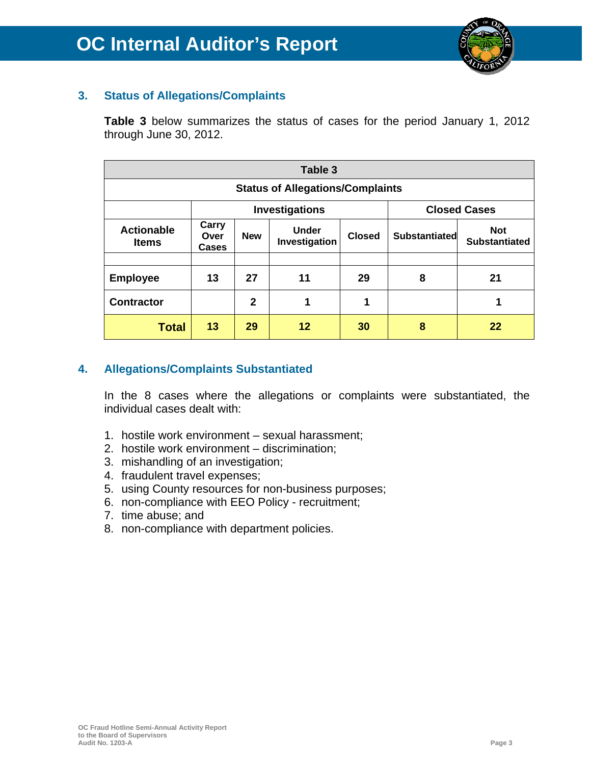

### **3. Status of Allegations/Complaints**

**Table 3** below summarizes the status of cases for the period January 1, 2012 through June 30, 2012.

| Table 3                                 |                                              |                                                              |    |               |                                    |    |  |  |  |
|-----------------------------------------|----------------------------------------------|--------------------------------------------------------------|----|---------------|------------------------------------|----|--|--|--|
| <b>Status of Allegations/Complaints</b> |                                              |                                                              |    |               |                                    |    |  |  |  |
|                                         | <b>Investigations</b><br><b>Closed Cases</b> |                                                              |    |               |                                    |    |  |  |  |
| <b>Actionable</b><br><b>Items</b>       | Carry<br>Over<br>Cases                       | <b>Under</b><br><b>Closed</b><br><b>New</b><br>Investigation |    | Substantiated | <b>Not</b><br><b>Substantiated</b> |    |  |  |  |
| <b>Employee</b>                         | 13                                           | 27                                                           | 11 | 29<br>8       |                                    | 21 |  |  |  |
| <b>Contractor</b>                       |                                              | $\mathbf{2}$                                                 | 1  | 1             |                                    | 1  |  |  |  |
| Total                                   | 13                                           | 29                                                           | 12 | 30            | 8                                  | 22 |  |  |  |

### **4. Allegations/Complaints Substantiated**

In the 8 cases where the allegations or complaints were substantiated, the individual cases dealt with:

- 1. hostile work environment sexual harassment;
- 2. hostile work environment discrimination;
- 3. mishandling of an investigation;
- 4. fraudulent travel expenses;
- 5. using County resources for non-business purposes;
- 6. non-compliance with EEO Policy recruitment;
- 7. time abuse; and
- 8. non-compliance with department policies.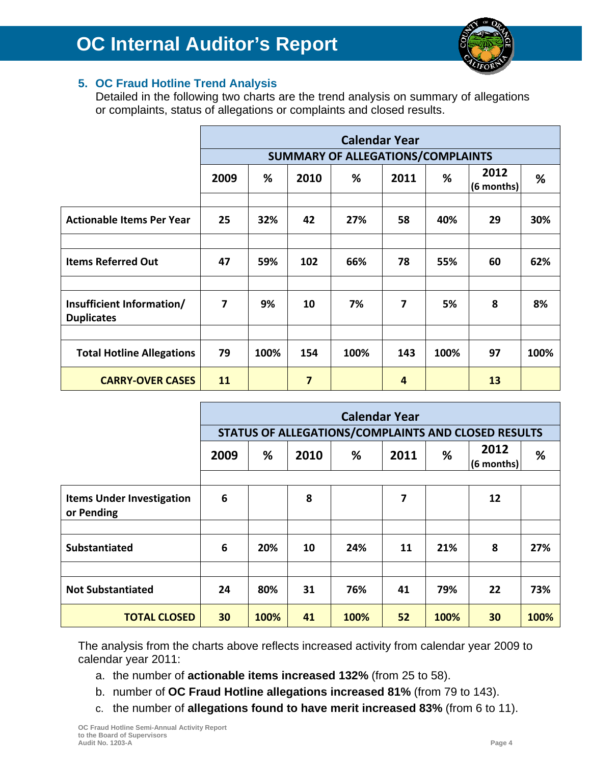

### **5. OC Fraud Hotline Trend Analysis**

Detailed in the following two charts are the trend analysis on summary of allegations or complaints, status of allegations or complaints and closed results.

|                                                | <b>Calendar Year</b>              |      |      |      |      |      |                    |      |
|------------------------------------------------|-----------------------------------|------|------|------|------|------|--------------------|------|
|                                                | SUMMARY OF ALLEGATIONS/COMPLAINTS |      |      |      |      |      |                    |      |
|                                                | 2009                              | %    | 2010 | %    | 2011 | %    | 2012<br>(6 months) | %    |
|                                                |                                   |      |      |      |      |      |                    |      |
| <b>Actionable Items Per Year</b>               | 25                                | 32%  | 42   | 27%  | 58   | 40%  | 29                 | 30%  |
|                                                |                                   |      |      |      |      |      |                    |      |
| <b>Items Referred Out</b>                      | 47                                | 59%  | 102  | 66%  | 78   | 55%  | 60                 | 62%  |
|                                                |                                   |      |      |      |      |      |                    |      |
| Insufficient Information/<br><b>Duplicates</b> | 7                                 | 9%   | 10   | 7%   | 7    | 5%   | 8                  | 8%   |
|                                                |                                   |      |      |      |      |      |                    |      |
| <b>Total Hotline Allegations</b>               | 79                                | 100% | 154  | 100% | 143  | 100% | 97                 | 100% |
| <b>CARRY-OVER CASES</b>                        | 11                                |      | 7    |      | 4    |      | <b>13</b>          |      |

|                                                | <b>Calendar Year</b><br>STATUS OF ALLEGATIONS/COMPLAINTS AND CLOSED RESULTS |      |      |      |      |      |                      |      |
|------------------------------------------------|-----------------------------------------------------------------------------|------|------|------|------|------|----------------------|------|
|                                                | 2009                                                                        | %    | 2010 | %    | 2011 | %    | 2012<br>$(6$ months) | %    |
| <b>Items Under Investigation</b><br>or Pending | 6                                                                           |      | 8    |      | 7    |      | 12                   |      |
| <b>Substantiated</b>                           | 6                                                                           | 20%  | 10   | 24%  | 11   | 21%  | 8                    | 27%  |
| <b>Not Substantiated</b>                       | 24                                                                          | 80%  | 31   | 76%  | 41   | 79%  | 22                   | 73%  |
| <b>TOTAL CLOSED</b>                            | 30                                                                          | 100% | 41   | 100% | 52   | 100% | 30                   | 100% |

The analysis from the charts above reflects increased activity from calendar year 2009 to calendar year 2011:

- a. the number of **actionable items increased 132%** (from 25 to 58).
- b. number of **OC Fraud Hotline allegations increased 81%** (from 79 to 143).
- c. the number of **allegations found to have merit increased 83%** (from 6 to 11).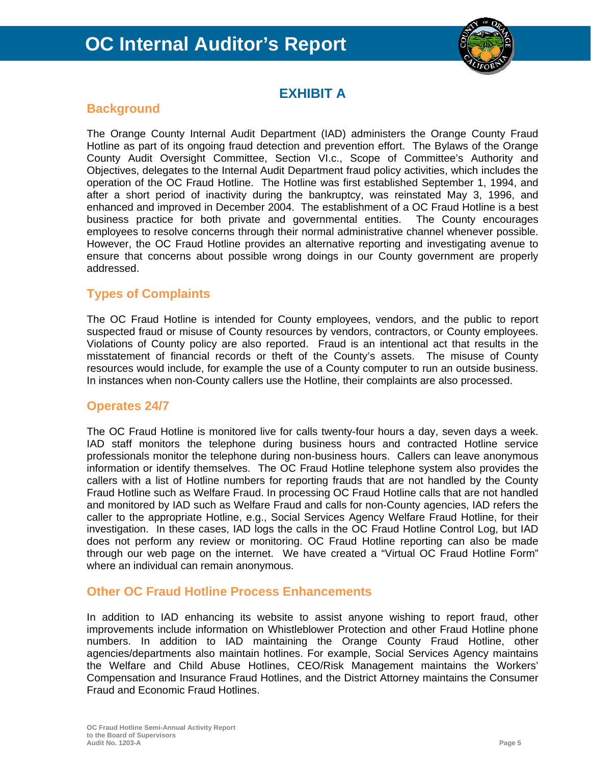

### **EXHIBIT A**

### **Background**

The Orange County Internal Audit Department (IAD) administers the Orange County Fraud Hotline as part of its ongoing fraud detection and prevention effort. The Bylaws of the Orange County Audit Oversight Committee, Section VI.c., Scope of Committee's Authority and Objectives, delegates to the Internal Audit Department fraud policy activities, which includes the operation of the OC Fraud Hotline. The Hotline was first established September 1, 1994, and after a short period of inactivity during the bankruptcy, was reinstated May 3, 1996, and enhanced and improved in December 2004. The establishment of a OC Fraud Hotline is a best business practice for both private and governmental entities. The County encourages employees to resolve concerns through their normal administrative channel whenever possible. However, the OC Fraud Hotline provides an alternative reporting and investigating avenue to ensure that concerns about possible wrong doings in our County government are properly addressed.

### **Types of Complaints**

The OC Fraud Hotline is intended for County employees, vendors, and the public to report suspected fraud or misuse of County resources by vendors, contractors, or County employees. Violations of County policy are also reported. Fraud is an intentional act that results in the misstatement of financial records or theft of the County's assets. The misuse of County resources would include, for example the use of a County computer to run an outside business. In instances when non-County callers use the Hotline, their complaints are also processed.

### **Operates 24/7**

The OC Fraud Hotline is monitored live for calls twenty-four hours a day, seven days a week. IAD staff monitors the telephone during business hours and contracted Hotline service professionals monitor the telephone during non-business hours. Callers can leave anonymous information or identify themselves. The OC Fraud Hotline telephone system also provides the callers with a list of Hotline numbers for reporting frauds that are not handled by the County Fraud Hotline such as Welfare Fraud. In processing OC Fraud Hotline calls that are not handled and monitored by IAD such as Welfare Fraud and calls for non-County agencies, IAD refers the caller to the appropriate Hotline, e.g., Social Services Agency Welfare Fraud Hotline, for their investigation. In these cases, IAD logs the calls in the OC Fraud Hotline Control Log, but IAD does not perform any review or monitoring. OC Fraud Hotline reporting can also be made through our web page on the internet. We have created a "Virtual OC Fraud Hotline Form" where an individual can remain anonymous.

### **Other OC Fraud Hotline Process Enhancements**

In addition to IAD enhancing its website to assist anyone wishing to report fraud, other improvements include information on Whistleblower Protection and other Fraud Hotline phone numbers. In addition to IAD maintaining the Orange County Fraud Hotline, other agencies/departments also maintain hotlines. For example, Social Services Agency maintains the Welfare and Child Abuse Hotlines, CEO/Risk Management maintains the Workers' Compensation and Insurance Fraud Hotlines, and the District Attorney maintains the Consumer Fraud and Economic Fraud Hotlines.